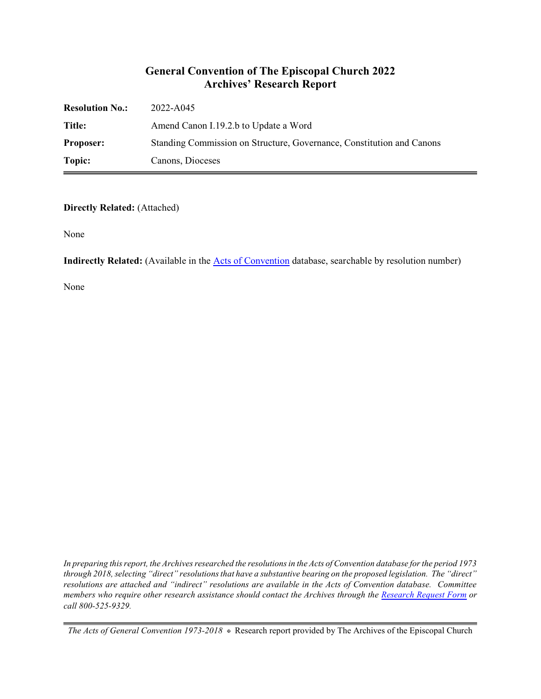### **General Convention of The Episcopal Church 2022 Archives' Research Report**

| <b>Resolution No.:</b> | 2022-A045                                                             |
|------------------------|-----------------------------------------------------------------------|
| Title:                 | Amend Canon I.19.2.b to Update a Word                                 |
| <b>Proposer:</b>       | Standing Commission on Structure, Governance, Constitution and Canons |
| Topic:                 | Canons, Dioceses                                                      |

#### **Directly Related:** (Attached)

None

**Indirectly Related:** (Available in the **Acts of Convention** database, searchable by resolution number)

None

*In preparing this report, the Archives researched the resolutions in the Acts of Convention database for the period 1973 through 2018, selecting "direct" resolutions that have a substantive bearing on the proposed legislation. The "direct" resolutions are attached and "indirect" resolutions are available in the Acts of Convention database. Committee members who require other research assistance should contact the Archives through the Research [Request Form](https://www.episcopalarchives.org/contact/research-request-form) or call 800-525-9329.*

*The Acts of General Convention 1973-2018*  $*$  Research report provided by The Archives of the Episcopal Church